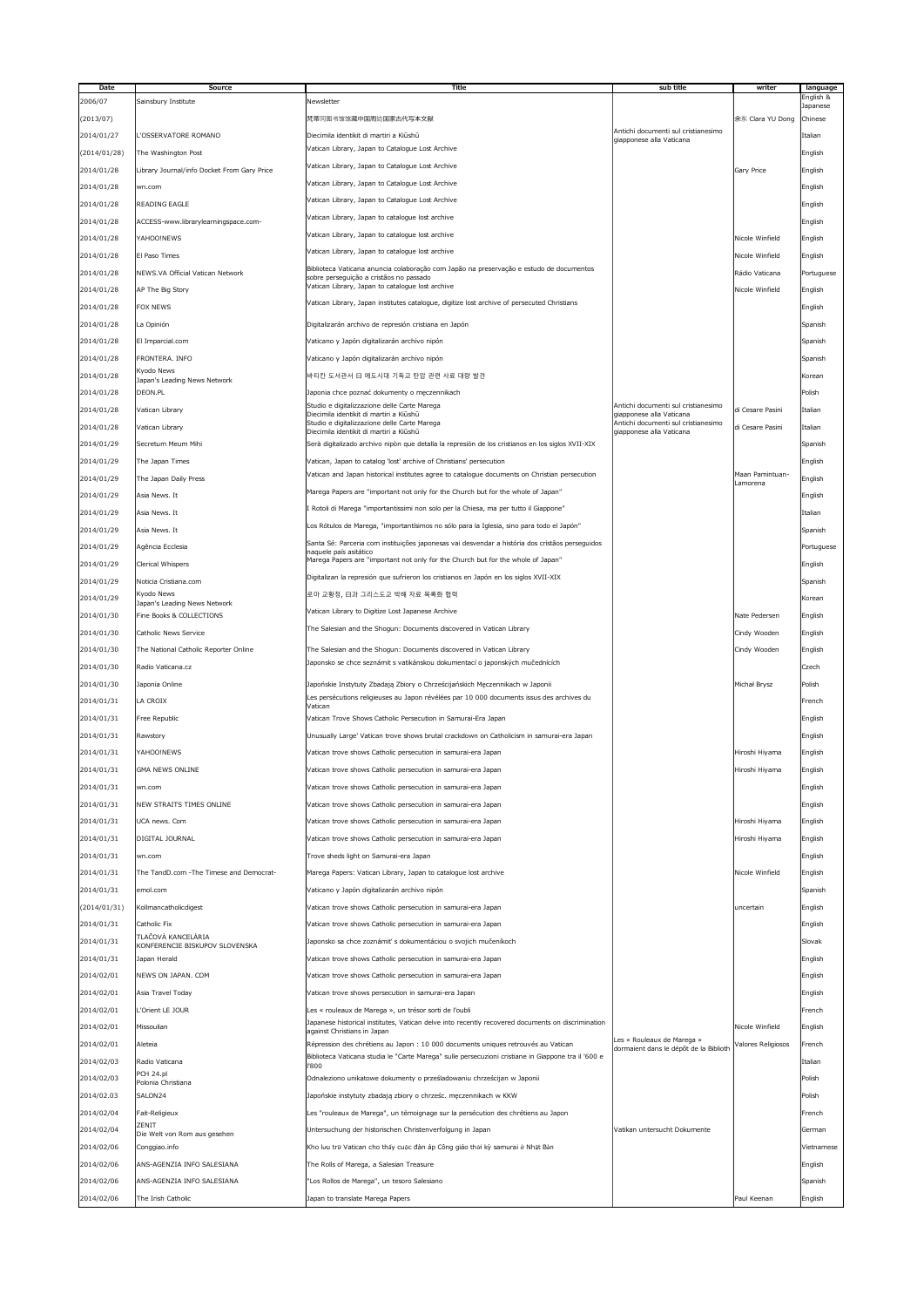| Date         | <b>Source</b>                               | Title                                                                                                        | sub title                                                       | writer                      | language   |
|--------------|---------------------------------------------|--------------------------------------------------------------------------------------------------------------|-----------------------------------------------------------------|-----------------------------|------------|
| 2006/07      | Sainsbury Institute                         | Newsletter                                                                                                   |                                                                 |                             | English &  |
|              |                                             |                                                                                                              |                                                                 |                             | Japanese   |
| (2013/07)    |                                             | 梵蒂冈图书馆馆藏中国周边国家古代写本文献                                                                                         |                                                                 | 余东 Clara YU Dong            | Chinese    |
| 2014/01/27   | L'OSSERVATORE ROMANO                        | Diecimila identikit di martiri a Kiūshū                                                                      | Antichi documenti sul cristianesimo<br>giapponese alla Vaticana |                             | Italian    |
| (2014/01/28) | The Washington Post                         | Vatican Library, Japan to Catalogue Lost Archive                                                             |                                                                 |                             | English    |
|              |                                             | Vatican Library, Japan to Catalogue Lost Archive                                                             |                                                                 |                             |            |
| 2014/01/28   | Library Journal/info Docket From Gary Price |                                                                                                              |                                                                 | Gary Price                  | English    |
| 2014/01/28   | wn.com                                      | Vatican Library, Japan to Catalogue Lost Archive                                                             |                                                                 |                             | English    |
|              |                                             | Vatican Library, Japan to Catalogue Lost Archive                                                             |                                                                 |                             |            |
| 2014/01/28   | <b>READING EAGLE</b>                        |                                                                                                              |                                                                 |                             | English    |
| 2014/01/28   | ACCESS-www.librarylearningspace.com-        | Vatican Library, Japan to catalogue lost archive                                                             |                                                                 |                             | English    |
| 2014/01/28   | YAHOO!NEWS                                  | Vatican Library, Japan to catalogue lost archive                                                             |                                                                 | Nicole Winfield             | English    |
|              |                                             | Vatican Library, Japan to catalogue lost archive                                                             |                                                                 |                             |            |
| 2014/01/28   | El Paso Times                               |                                                                                                              |                                                                 | Nicole Winfield             | English    |
| 2014/01/28   | NEWS.VA Official Vatican Network            | Biblioteca Vaticana anuncia colaboração com Japão na preservação e estudo de documentos                      |                                                                 | Rádio Vaticana              | Portuguese |
|              |                                             | sobre perseguição a cristãos no passado<br>Vatican Library, Japan to catalogue lost archive                  |                                                                 |                             |            |
| 2014/01/28   | AP The Big Story                            |                                                                                                              |                                                                 | Nicole Winfield             | English    |
| 2014/01/28   | <b>FOX NEWS</b>                             | Vatican Library, Japan institutes catalogue, digitize lost archive of persecuted Christians                  |                                                                 |                             | English    |
| 2014/01/28   | La Opinión                                  | Digitalizarán archivo de represión cristiana en Japón                                                        |                                                                 |                             | Spanish    |
|              |                                             |                                                                                                              |                                                                 |                             |            |
| 2014/01/28   | El Imparcial.com                            | Vaticano y Japón digitalizarán archivo nipón                                                                 |                                                                 |                             | Spanish    |
| 2014/01/28   | FRONTERA. INFO                              | Vaticano y Japón digitalizarán archivo nipón                                                                 |                                                                 |                             | Spanish    |
|              | Kyodo News                                  |                                                                                                              |                                                                 |                             |            |
| 2014/01/28   | Japan's Leading News Network                | 바티칸 도서관서 日 에도시대 기독교 탄압 관련 사료 대량 발견                                                                           |                                                                 |                             | Korean     |
| 2014/01/28   | DEON.PL                                     | Japonia chce poznać dokumenty o męczennikach                                                                 |                                                                 |                             | Polish     |
| 2014/01/28   | Vatican Library                             | Studio e digitalizzazione delle Carte Marega                                                                 | Antichi documenti sul cristianesimo                             | di Cesare Pasini            | Italian    |
|              |                                             | Diecimila identikit di martiri a Kiūshū<br>Studio e digitalizzazione delle Carte Marega                      | giapponese alla Vaticana<br>Antichi documenti sul cristianesimo |                             |            |
| 2014/01/28   | Vatican Library                             | Diecimila identikit di martiri a Kiūshū                                                                      | giapponese alla Vaticana                                        | di Cesare Pasini            | Italian    |
| 2014/01/29   | Secretum Meum Mihi                          | Serà digitalizado archivo nipòn que detalla la represiòn de los cristianos en los siglos XVII-XIX            |                                                                 |                             | Spanish    |
|              |                                             |                                                                                                              |                                                                 |                             |            |
| 2014/01/29   | The Japan Times                             | Vatican, Japan to catalog 'lost' archive of Christians' persecution                                          |                                                                 |                             | English    |
| 2014/01/29   | The Japan Daily Press                       | Vatican and Japan historical institutes agree to catalogue documents on Christian persecution                |                                                                 | Maan Pamintuan-<br>Lamorena | English    |
| 2014/01/29   | Asia News. It                               | Marega Papers are "important not only for the Church but for the whole of Japan"                             |                                                                 |                             | English    |
|              |                                             |                                                                                                              |                                                                 |                             |            |
| 2014/01/29   | Asia News. It                               | I Rotoli di Marega "importantissimi non solo per la Chiesa, ma per tutto il Giappone"                        |                                                                 |                             | Italian    |
| 2014/01/29   | Asia News. It                               | Los Rótulos de Marega, "importantísimos no sólo para la Iglesia, sino para todo el Japón"                    |                                                                 |                             | Spanish    |
|              |                                             | Santa Sé: Parceria com instituições japonesas vai desvendar a história dos cristãos perseguidos              |                                                                 |                             |            |
| 2014/01/29   | Agência Ecclesia                            | naquele país asitático                                                                                       |                                                                 |                             | Portuguese |
| 2014/01/29   | <b>Clerical Whispers</b>                    | Marega Papers are "important not only for the Church but for the whole of Japan"                             |                                                                 |                             | English    |
|              |                                             | Digitalizan la represión que sufrieron los cristianos en Japón en los siglos XVII-XIX                        |                                                                 |                             |            |
| 2014/01/29   | Noticia Cristiana.com                       |                                                                                                              |                                                                 |                             | Spanish    |
| 2014/01/29   | Kyodo News<br>Japan's Leading News Network  | 로마 교황청, 日과 그리스도교 박해 자료 목록화 협력                                                                                |                                                                 |                             | Korean     |
| 2014/01/30   | Fine Books & COLLECTIONS                    | Vatican Library to Digitize Lost Japanese Archive                                                            |                                                                 | Nate Pedersen               | English    |
|              |                                             | The Salesian and the Shogun: Documents discovered in Vatican Library                                         |                                                                 |                             |            |
| 2014/01/30   | <b>Catholic News Service</b>                |                                                                                                              |                                                                 | Cindy Wooden                | English    |
| 2014/01/30   | The National Catholic Reporter Online       | The Salesian and the Shogun: Documents discovered in Vatican Library                                         |                                                                 | Cindy Wooden                | English    |
|              |                                             | Japonsko se chce seznámit s vatikánskou dokumentací o japonských mučednících                                 |                                                                 |                             |            |
| 2014/01/30   | Radio Vaticana.cz                           |                                                                                                              |                                                                 |                             | Czech      |
| 2014/01/30   | Japonia Online                              | Japońskie Instytuty Zbadają Zbiory o Chrześcijańskich Męczennikach w Japonii                                 |                                                                 | Michał Brysz                | Polish     |
|              | LA CROIX                                    | Les persécutions religieuses au Japon révélées par 10 000 documents issus des archives du                    |                                                                 |                             |            |
| 2014/01/31   |                                             | Vatican                                                                                                      |                                                                 |                             | French     |
| 2014/01/31   | Free Republic                               | Vatican Trove Shows Catholic Persecution in Samurai-Era Japan                                                |                                                                 |                             | English    |
| 2014/01/31   | Rawstory                                    | Unusually Large' Vatican trove shows brutal crackdown on Catholicism in samurai-era Japan                    |                                                                 |                             | English    |
|              |                                             |                                                                                                              |                                                                 |                             |            |
| 2014/01/31   | YAHOO!NEWS                                  | Vatican trove shows Catholic persecution in samurai-era Japan                                                |                                                                 | Hiroshi Hiyama              | English    |
| 2014/01/31   | <b>GMA NEWS ONLINE</b>                      | Vatican trove shows Catholic persecution in samurai-era Japan                                                |                                                                 | Hiroshi Hiyama              | English    |
|              |                                             |                                                                                                              |                                                                 |                             |            |
| 2014/01/31   | wn.com                                      | Vatican trove shows Catholic persecution in samurai-era Japan                                                |                                                                 |                             | English    |
| 2014/01/31   | NEW STRAITS TIMES ONLINE                    | Vatican trove shows Catholic persecution in samurai-era Japan                                                |                                                                 |                             | English    |
| 2014/01/31   | UCA news. Com                               | Vatican trove shows Catholic persecution in samurai-era Japan                                                |                                                                 | Hiroshi Hiyama              | English    |
|              |                                             |                                                                                                              |                                                                 |                             |            |
| 2014/01/31   | DIGITAL JOURNAL                             | Vatican trove shows Catholic persecution in samurai-era Japan                                                |                                                                 | Hiroshi Hiyama              | English    |
| 2014/01/31   | wn.com                                      | Trove sheds light on Samurai-era Japan                                                                       |                                                                 |                             | English    |
|              |                                             |                                                                                                              |                                                                 |                             |            |
| 2014/01/31   | The TandD.com - The Timese and Democrat-    | Marega Papers: Vatican Library, Japan to catalogue lost archive                                              |                                                                 | Nicole Winfield             | English    |
| 2014/01/31   | emol.com                                    | Vaticano y Japón digitalizarán archivo nipón                                                                 |                                                                 |                             | Spanish    |
| (2014/01/31) | Kollmancatholicdigest                       | Vatican trove shows Catholic persecution in samurai-era Japan                                                |                                                                 | uncertain                   | English    |
|              |                                             |                                                                                                              |                                                                 |                             |            |
| 2014/01/31   | Catholic Fix                                | Vatican trove shows Catholic persecution in samurai-era Japan                                                |                                                                 |                             | English    |
| 2014/01/31   | TLAČOVÁ KANCELÁRIA                          | Japonsko sa chce zoznámiť s dokumentáciou o svojich mučeníkoch                                               |                                                                 |                             | Slovak     |
|              | KONFERENCIE BISKUPOV SLOVENSKA              |                                                                                                              |                                                                 |                             |            |
| 2014/01/31   | Japan Herald                                | Vatican trove shows Catholic persecution in samurai-era Japan                                                |                                                                 |                             | English    |
| 2014/02/01   | NEWS ON JAPAN. COM                          | Vatican trove shows Catholic persecution in samurai-era Japan                                                |                                                                 |                             | English    |
| 2014/02/01   | Asia Travel Today                           | Vatican trove shows persecution in samurai-era Japan                                                         |                                                                 |                             | English    |
|              |                                             |                                                                                                              |                                                                 |                             |            |
| 2014/02/01   | L'Orient LE JOUR                            | Les « rouleaux de Marega », un trésor sorti de l'oubli                                                       |                                                                 |                             | French     |
| 2014/02/01   | Missoulian                                  | Japanese historical institutes, Vatican delve into recently recovered documents on discrimination            |                                                                 | Nicole Winfield             | English    |
|              |                                             | against Christians in Japan                                                                                  | Les « Rouleaux de Marega »                                      |                             |            |
| 2014/02/01   | Aleteia                                     | Répression des chrétiens au Japon : 10 000 documents uniques retrouvés au Vatican                            | dormaient dans le dépôt de la Biblioth                          | Valores Religiosos          | French     |
| 2014/02/03   | Radio Vaticana                              | Biblioteca Vaticana studia le "Carte Marega" sulle persecuzioni cristiane in Giappone tra il '600 e<br>l'800 |                                                                 |                             | Italian    |
|              | PCH 24.pl                                   |                                                                                                              |                                                                 |                             | Polish     |
| 2014/02/03   | Polonia Christiana                          | Odnaleziono unikatowe dokumenty o prześladowaniu chrześcijan w Japonii                                       |                                                                 |                             |            |
| 2014/02.03   | SALON24                                     | Japońskie instytuty zbadają zbiory o chrześc. męczennikach w KKW                                             |                                                                 |                             | Polish     |
| 2014/02/04   | Fait-Religieux                              | Les "rouleaux de Marega", un témoignage sur la persécution des chrétiens au Japon                            |                                                                 |                             | French     |
|              | ZENIT                                       |                                                                                                              |                                                                 |                             |            |
| 2014/02/04   | Die Welt von Rom aus gesehen                | Untersuchung der historischen Christenverfolgung in Japan                                                    | Vatikan untersucht Dokumente                                    |                             | German     |
| 2014/02/06   | 'Conggiao.info                              | Kho lưu trữ Vatican cho thấy cuộc đàn áp Công giáo thời kỳ samurai ở Nhật Bản                                |                                                                 |                             | Vietnamese |
|              |                                             |                                                                                                              |                                                                 |                             |            |
| 2014/02/06   | ANS-AGENZIA INFO SALESIANA                  | The Rolls of Marega, a Salesian Treasure                                                                     |                                                                 |                             | English    |
| 2014/02/06   | ANS-AGENZIA INFO SALESIANA                  | "Los Rollos de Marega", un tesoro Salesiano                                                                  |                                                                 |                             | Spanish    |
| 2014/02/06   | The Irish Catholic                          | Japan to translate Marega Papers                                                                             |                                                                 | Paul Keenan                 | English    |
|              |                                             |                                                                                                              |                                                                 |                             |            |